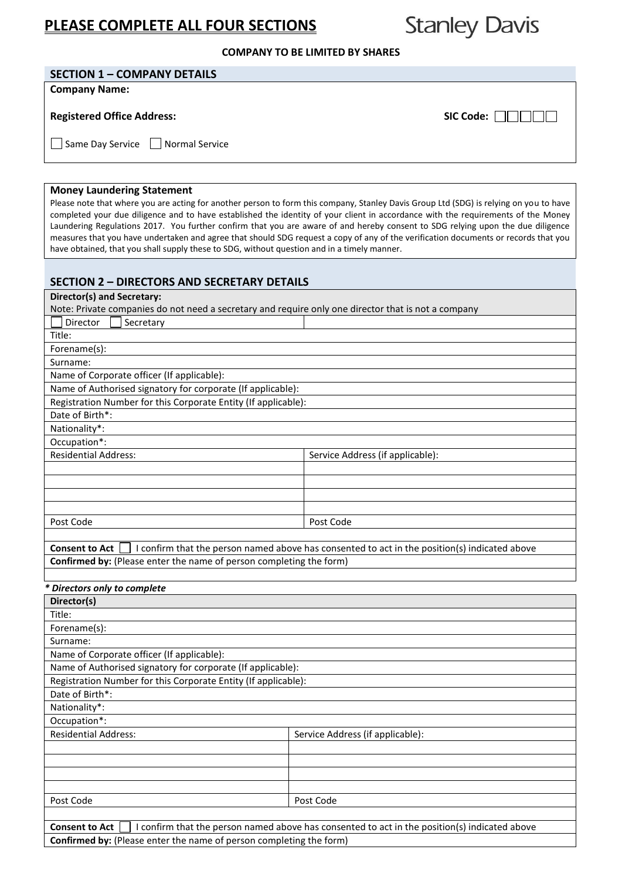# **PLEASE COMPLETE ALL FOUR SECTIONS**

**Stanley Davis** 

### **COMPANY TO BE LIMITED BY SHARES**

# **SECTION 1 – COMPANY DETAILS**

**Company Name:** 

# **Registered Office Address:**  $\blacksquare$

Same Day Service **Normal Service** 

#### **Money Laundering Statement**

Please note that where you are acting for another person to form this company, Stanley Davis Group Ltd (SDG) is relying on you to have completed your due diligence and to have established the identity of your client in accordance with the requirements of the Money Laundering Regulations 2017. You further confirm that you are aware of and hereby consent to SDG relying upon the due diligence measures that you have undertaken and agree that should SDG request a copy of any of the verification documents or records that you have obtained, that you shall supply these to SDG, without question and in a timely manner.

# **SECTION 2 – DIRECTORS AND SECRETARY DETAILS**

| Director(s) and Secretary:                                                                          |                                                                                               |  |  |  |
|-----------------------------------------------------------------------------------------------------|-----------------------------------------------------------------------------------------------|--|--|--|
| Note: Private companies do not need a secretary and require only one director that is not a company |                                                                                               |  |  |  |
| Director<br>Secretary                                                                               |                                                                                               |  |  |  |
| Title:                                                                                              |                                                                                               |  |  |  |
| Forename(s):                                                                                        |                                                                                               |  |  |  |
| Surname:                                                                                            |                                                                                               |  |  |  |
| Name of Corporate officer (If applicable):                                                          |                                                                                               |  |  |  |
| Name of Authorised signatory for corporate (If applicable):                                         |                                                                                               |  |  |  |
| Registration Number for this Corporate Entity (If applicable):                                      |                                                                                               |  |  |  |
| Date of Birth*:                                                                                     |                                                                                               |  |  |  |
| Nationality*:                                                                                       |                                                                                               |  |  |  |
| Occupation*:                                                                                        |                                                                                               |  |  |  |
| <b>Residential Address:</b>                                                                         | Service Address (if applicable):                                                              |  |  |  |
|                                                                                                     |                                                                                               |  |  |  |
|                                                                                                     |                                                                                               |  |  |  |
|                                                                                                     |                                                                                               |  |  |  |
|                                                                                                     |                                                                                               |  |  |  |
| Post Code                                                                                           | Post Code                                                                                     |  |  |  |
|                                                                                                     |                                                                                               |  |  |  |
| <b>Consent to Act</b>                                                                               | I confirm that the person named above has consented to act in the position(s) indicated above |  |  |  |
| Confirmed by: (Please enter the name of person completing the form)                                 |                                                                                               |  |  |  |
|                                                                                                     |                                                                                               |  |  |  |
| * Directors only to complete                                                                        |                                                                                               |  |  |  |
| Director(s)                                                                                         |                                                                                               |  |  |  |
| Title:                                                                                              |                                                                                               |  |  |  |
| Forename(s):                                                                                        |                                                                                               |  |  |  |
| Surname:                                                                                            |                                                                                               |  |  |  |
| Name of Corporate officer (If applicable):                                                          |                                                                                               |  |  |  |
| Name of Authorised signatory for corporate (If applicable):                                         |                                                                                               |  |  |  |
| Registration Number for this Corporate Entity (If applicable):                                      |                                                                                               |  |  |  |
| Date of Birth*:                                                                                     |                                                                                               |  |  |  |
| Nationality*:                                                                                       |                                                                                               |  |  |  |
| Occupation*:                                                                                        |                                                                                               |  |  |  |
| <b>Residential Address:</b>                                                                         | Service Address (if applicable):                                                              |  |  |  |

| Post Code       | Post Code                                                                                                          |  |
|-----------------|--------------------------------------------------------------------------------------------------------------------|--|
|                 |                                                                                                                    |  |
| Canaantta Ast I | المريمواء اممغمناه وبالمستخلف وممسوحا وبالعمام والمعقود ومموم وموالو والممسوم وممسمر ومالا فموالا وسألوزهم التأليل |  |

**Consent to Act**  $\Box$  I confirm that the person named above has consented to act in the position(s) indicated above **Confirmed by:** (Please enter the name of person completing the form)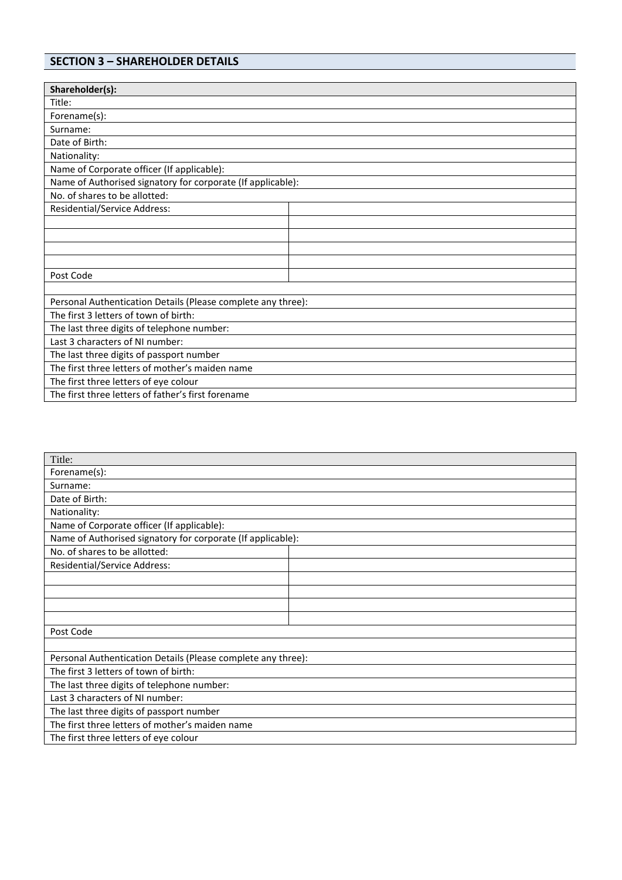# **SECTION 3 – SHAREHOLDER DETAILS**

| Shareholder(s):                                              |  |  |
|--------------------------------------------------------------|--|--|
| Title:                                                       |  |  |
| Forename(s):                                                 |  |  |
| Surname:                                                     |  |  |
| Date of Birth:                                               |  |  |
| Nationality:                                                 |  |  |
| Name of Corporate officer (If applicable):                   |  |  |
| Name of Authorised signatory for corporate (If applicable):  |  |  |
| No. of shares to be allotted:                                |  |  |
| Residential/Service Address:                                 |  |  |
|                                                              |  |  |
|                                                              |  |  |
|                                                              |  |  |
|                                                              |  |  |
| Post Code                                                    |  |  |
|                                                              |  |  |
| Personal Authentication Details (Please complete any three): |  |  |
| The first 3 letters of town of birth:                        |  |  |
| The last three digits of telephone number:                   |  |  |
| Last 3 characters of NI number:                              |  |  |
| The last three digits of passport number                     |  |  |
| The first three letters of mother's maiden name              |  |  |
| The first three letters of eye colour                        |  |  |
| The first three letters of father's first forename           |  |  |

| Title:                                                      |                                                              |  |  |
|-------------------------------------------------------------|--------------------------------------------------------------|--|--|
| Forename(s):                                                |                                                              |  |  |
| Surname:                                                    |                                                              |  |  |
| Date of Birth:                                              |                                                              |  |  |
| Nationality:                                                |                                                              |  |  |
| Name of Corporate officer (If applicable):                  |                                                              |  |  |
| Name of Authorised signatory for corporate (If applicable): |                                                              |  |  |
| No. of shares to be allotted:                               |                                                              |  |  |
| <b>Residential/Service Address:</b>                         |                                                              |  |  |
|                                                             |                                                              |  |  |
|                                                             |                                                              |  |  |
|                                                             |                                                              |  |  |
|                                                             |                                                              |  |  |
| Post Code                                                   |                                                              |  |  |
|                                                             |                                                              |  |  |
|                                                             | Personal Authentication Details (Please complete any three): |  |  |
| The first 3 letters of town of birth:                       |                                                              |  |  |
| The last three digits of telephone number:                  |                                                              |  |  |
| Last 3 characters of NI number:                             |                                                              |  |  |
| The last three digits of passport number                    |                                                              |  |  |
| The first three letters of mother's maiden name             |                                                              |  |  |
| The first three letters of eye colour                       |                                                              |  |  |